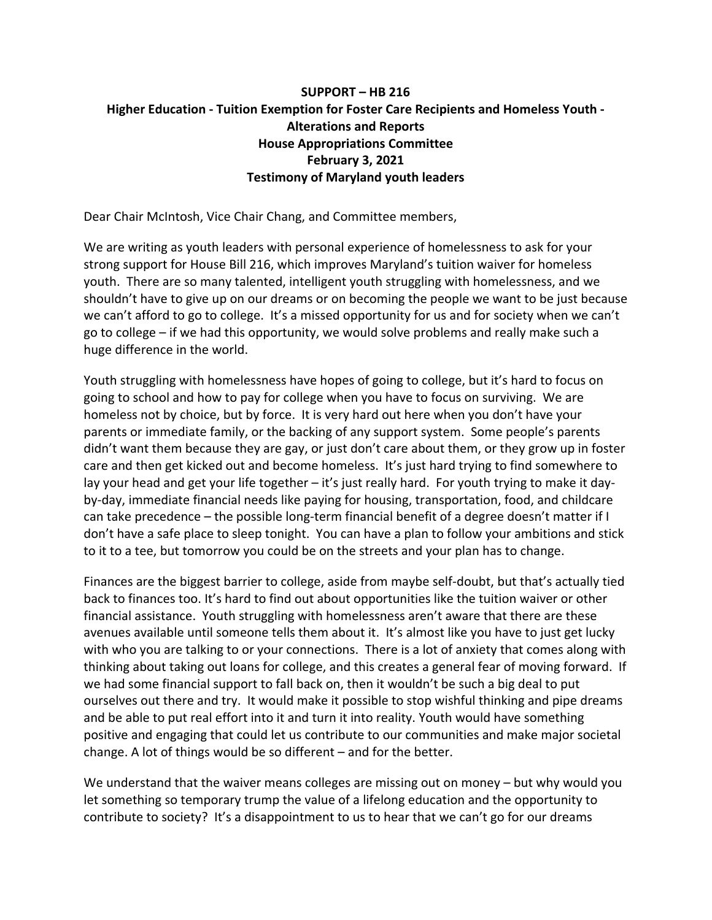## **SUPPORT – HB 216 Higher Education - Tuition Exemption for Foster Care Recipients and Homeless Youth - Alterations and Reports House Appropriations Committee February 3, 2021 Testimony of Maryland youth leaders**

Dear Chair McIntosh, Vice Chair Chang, and Committee members,

We are writing as youth leaders with personal experience of homelessness to ask for your strong support for House Bill 216, which improves Maryland's tuition waiver for homeless youth. There are so many talented, intelligent youth struggling with homelessness, and we shouldn't have to give up on our dreams or on becoming the people we want to be just because we can't afford to go to college. It's a missed opportunity for us and for society when we can't go to college – if we had this opportunity, we would solve problems and really make such a huge difference in the world.

Youth struggling with homelessness have hopes of going to college, but it's hard to focus on going to school and how to pay for college when you have to focus on surviving. We are homeless not by choice, but by force. It is very hard out here when you don't have your parents or immediate family, or the backing of any support system. Some people's parents didn't want them because they are gay, or just don't care about them, or they grow up in foster care and then get kicked out and become homeless. It's just hard trying to find somewhere to lay your head and get your life together – it's just really hard. For youth trying to make it dayby-day, immediate financial needs like paying for housing, transportation, food, and childcare can take precedence – the possible long-term financial benefit of a degree doesn't matter if I don't have a safe place to sleep tonight. You can have a plan to follow your ambitions and stick to it to a tee, but tomorrow you could be on the streets and your plan has to change.

Finances are the biggest barrier to college, aside from maybe self-doubt, but that's actually tied back to finances too. It's hard to find out about opportunities like the tuition waiver or other financial assistance. Youth struggling with homelessness aren't aware that there are these avenues available until someone tells them about it. It's almost like you have to just get lucky with who you are talking to or your connections. There is a lot of anxiety that comes along with thinking about taking out loans for college, and this creates a general fear of moving forward. If we had some financial support to fall back on, then it wouldn't be such a big deal to put ourselves out there and try. It would make it possible to stop wishful thinking and pipe dreams and be able to put real effort into it and turn it into reality. Youth would have something positive and engaging that could let us contribute to our communities and make major societal change. A lot of things would be so different – and for the better.

We understand that the waiver means colleges are missing out on money – but why would you let something so temporary trump the value of a lifelong education and the opportunity to contribute to society? It's a disappointment to us to hear that we can't go for our dreams